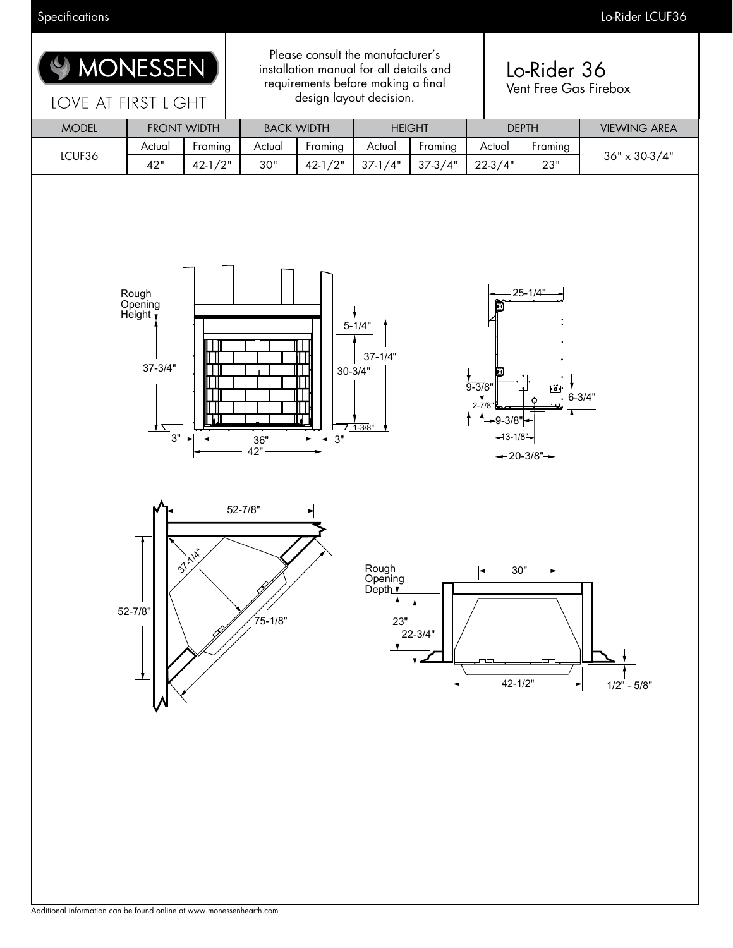

Specifications

### Lo-Rider LCUF36